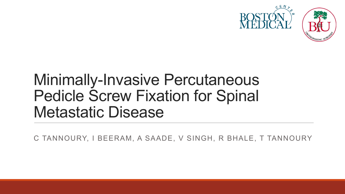

### Minimally-Invasive Percutaneous Pedicle Screw Fixation for Spinal Metastatic Disease

C TANNOURY, I BEERAM, A SAADE, V SINGH, R BHALE, T TANNOURY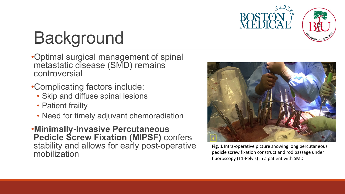

# Background

- •Optimal surgical management of spinal metastatic disease (SMD) remains controversial
- •Complicating factors include:
	- Skip and diffuse spinal lesions
	- Patient frailty
	- Need for timely adjuvant chemoradiation
- •**Minimally-Invasive Percutaneous Pedicle Screw Fixation (MIPSF)** confers stability and allows for early post-operative mobilization



**Fig. 1** Intra-operative picture showing long percutaneous pedicle screw fixation construct and rod passage under fluoroscopy (T1-Pelvis) in a patient with SMD.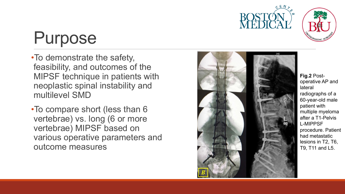



## Purpose

•To demonstrate the safety, feasibility, and outcomes of the MIPSF technique in patients with neoplastic spinal instability and multilevel SMD

•To compare short (less than 6 vertebrae) vs. long (6 or more vertebrae) MIPSF based on various operative parameters and outcome measures



**Fig.2** Post operative AP and lateral radiographs of a 60 -year -old male patient with multiple myeloma after a T1 -Pelvis L -MIPPSF procedure. Patient had metastatic lesions in T2, T6, T9, T11 and L5.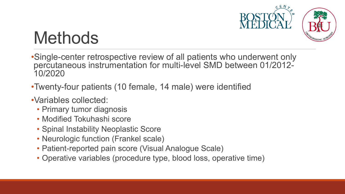

# **Methods**

- •Single-center retrospective review of all patients who underwent only percutaneous instrumentation for multi-level SMD between 01/2012- 10/2020
- •Twenty-four patients (10 female, 14 male) were identified
- •Variables collected:
	- Primary tumor diagnosis
	- Modified Tokuhashi score
	- Spinal Instability Neoplastic Score
	- Neurologic function (Frankel scale)
	- Patient-reported pain score (Visual Analogue Scale)
	- Operative variables (procedure type, blood loss, operative time)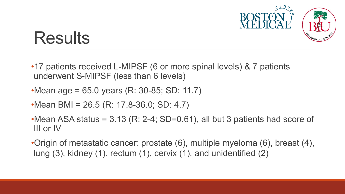

### **Results**

- •17 patients received L-MIPSF (6 or more spinal levels) & 7 patients underwent S-MIPSF (less than 6 levels)
- •Mean age = 65.0 years (R: 30-85; SD: 11.7)
- •Mean BMI = 26.5 (R: 17.8-36.0; SD: 4.7)
- •Mean ASA status =  $3.13$  (R: 2-4; SD=0.61), all but 3 patients had score of III or IV
- •Origin of metastatic cancer: prostate (6), multiple myeloma (6), breast (4), lung (3), kidney (1), rectum (1), cervix (1), and unidentified (2)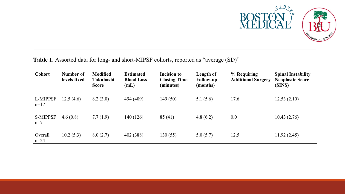

**Table 1.** Assorted data for long- and short-MIPSF cohorts, reported as "average (SD)"

| <b>Cohort</b>            | Number of<br>levels fixed | <b>Modified</b><br>Tokuhashi<br><b>Score</b> | <b>Estimated</b><br><b>Blood Loss</b><br>(mL) | <b>Incision to</b><br><b>Closing Time</b><br>(minutes) | Length of<br><b>Follow-up</b><br>(months) | % Requiring<br><b>Additional Surgery</b> | <b>Spinal Instability</b><br><b>Neoplastic Score</b><br>(SINS) |
|--------------------------|---------------------------|----------------------------------------------|-----------------------------------------------|--------------------------------------------------------|-------------------------------------------|------------------------------------------|----------------------------------------------------------------|
| L-MIPPSF<br>$n=17$       | 12.5(4.6)                 | 8.2(3.0)                                     | 494 (409)                                     | 149(50)                                                | 5.1(5.6)                                  | 17.6                                     | 12.53(2.10)                                                    |
| <b>S-MIPPSF</b><br>$n=7$ | 4.6(0.8)                  | 7.7(1.9)                                     | 140 (126)                                     | 85(41)                                                 | 4.8(6.2)                                  | 0.0                                      | 10.43(2.76)                                                    |
| Overall<br>$n=24$        | 10.2(5.3)                 | 8.0(2.7)                                     | 402 (388)                                     | 130(55)                                                | 5.0(5.7)                                  | 12.5                                     | 11.92(2.45)                                                    |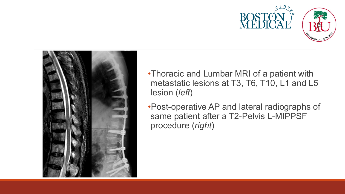



- •Thoracic and Lumbar MRI of a patient with metastatic lesions at T3, T6, T10, L1 and L5 lesion (*left*)
- •Post-operative AP and lateral radiographs of same patient after a T2-Pelvis L-MIPPSF procedure (*right*)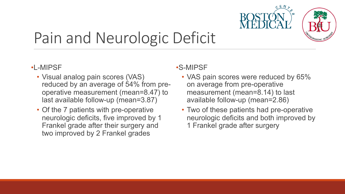

### Pain and Neurologic Deficit

#### •L-MIPSF

- Visual analog pain scores (VAS) reduced by an average of 54% from preoperative measurement (mean=8.47) to last available follow-up (mean=3.87)
- Of the 7 patients with pre-operative neurologic deficits, five improved by 1 Frankel grade after their surgery and two improved by 2 Frankel grades

#### •S-MIPSF

- VAS pain scores were reduced by 65% on average from pre-operative measurement (mean=8.14) to last available follow-up (mean=2.86)
- Two of these patients had pre-operative neurologic deficits and both improved by 1 Frankel grade after surgery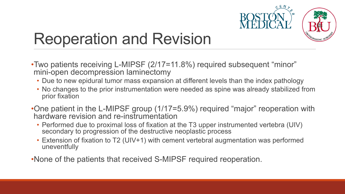

### Reoperation and Revision

- •Two patients receiving L-MIPSF (2/17=11.8%) required subsequent "minor" mini-open decompression laminectomy
	- Due to new epidural tumor mass expansion at different levels than the index pathology
	- No changes to the prior instrumentation were needed as spine was already stabilized from prior fixation
- •One patient in the L-MIPSF group (1/17=5.9%) required "major" reoperation with hardware revision and re-instrumentation
	- Performed due to proximal loss of fixation at the T3 upper instrumented vertebra (UIV) secondary to progression of the destructive neoplastic process
	- Extension of fixation to T2 (UIV+1) with cement vertebral augmentation was performed uneventfully

•None of the patients that received S-MIPSF required reoperation.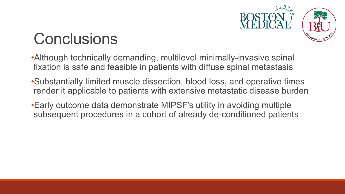

## **Conclusions**

•Although technically demanding, multilevel minimally-invasive spinal fixation is safe and feasible in patients with diffuse spinal metastasis

- •Substantially limited muscle dissection, blood loss, and operative times render it applicable to patients with extensive metastatic disease burden
- •Early outcome data demonstrate MIPSF's utility in avoiding multiple subsequent procedures in a cohort of already de-conditioned patients